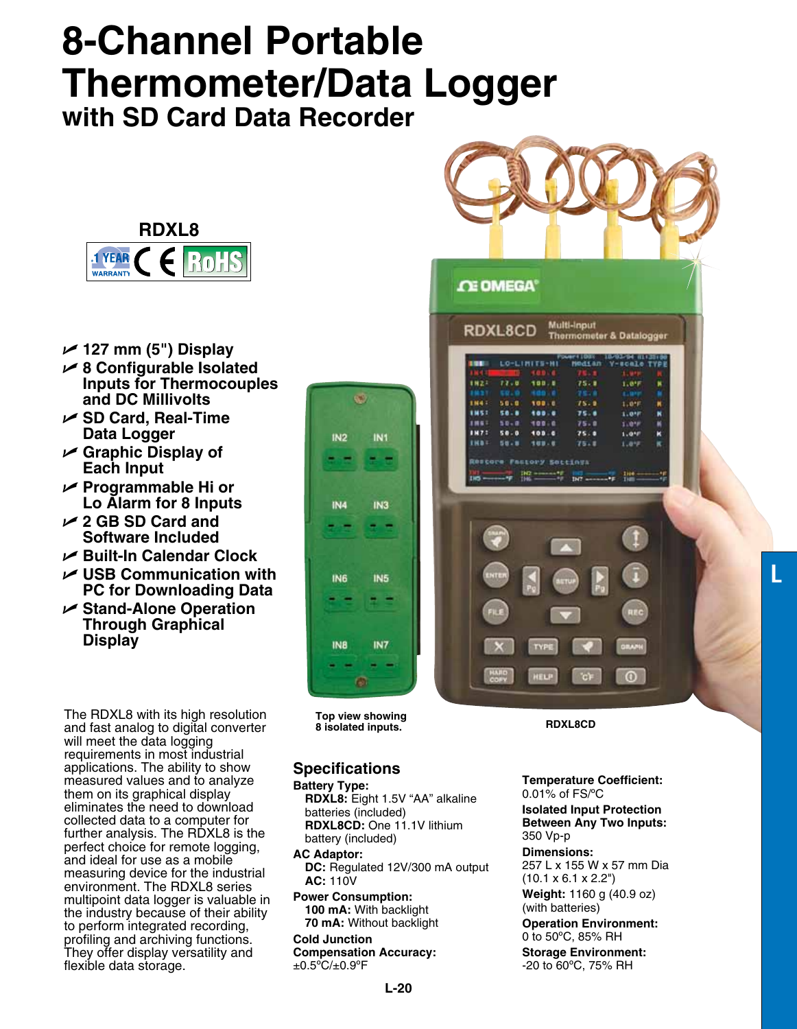## **8-Channel Portable Thermometer/Data Logger with SD Card Data Recorder**



- U **127 mm (5") Display**
- U **8 Configurable Isolated Inputs for Thermocouples and DC Millivolts**
- U **SD Card, Real-Time Data Logger**
- U **Graphic Display of Each Input**
- U **Programmable Hi or Lo Alarm for 8 Inputs**
- U **2 GB SD Card and Software Included**
- U **Built-In Calendar Clock**
- U **USB Communication with PC for Downloading Data**
- U **Stand-Alone Operation Through Graphical Display**

The RDXL8 with its high resolution and fast analog to digital converter will meet the data logging requirements in most industrial applications. The ability to show measured values and to analyze them on its graphical display eliminates the need to download collected data to a computer for further analysis. The RDXL8 is the perfect choice for remote logging, and ideal for use as a mobile measuring device for the industrial environment. The RDXL8 series multipoint data logger is valuable in the industry because of their ability to perform integrated recording, profiling and archiving functions. They offer display versatility and flexible data storage.



**Top view showing 8 isolated inputs. RDXL8CD**

## **Specifications**

**Battery Type: RDXL8:** Eight 1.5V "AA" alkaline batteries (included) **RDXL8CD:** One 11.1V lithium battery (included)

**AC Adaptor: DC:** Regulated 12V/300 mA output **AC:** 110V **Power Consumption:**

**100 mA:** With backlight **70 mA:** Without backlight

**Cold Junction Compensation Accuracy:**  $\pm 0.5^{\circ}C/\pm 0.9^{\circ}F$ 





**Temperature Coefficient:** 0.01% of FS/ºC

**Isolated Input Protection Between Any Two Inputs:**  350 Vp-p

**Dimensions:** 257 L x 155 W x 57 mm Dia

 $(10.1 \times 6.1 \times 2.2")$ **Weight:** 1160 g (40.9 oz)

(with batteries)

**Operation Environment:** 0 to 50ºC, 85% RH

**Storage Environment:** -20 to 60ºC, 75% RH